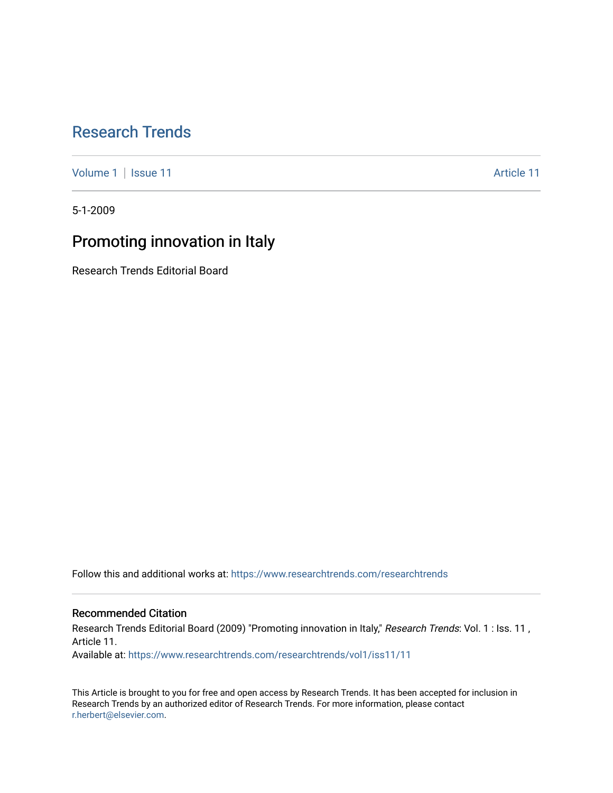## [Research Trends](https://www.researchtrends.com/researchtrends)

[Volume 1](https://www.researchtrends.com/researchtrends/vol1) | [Issue 11](https://www.researchtrends.com/researchtrends/vol1/iss11) Article 11

5-1-2009

# Promoting innovation in Italy

Research Trends Editorial Board

Follow this and additional works at: [https://www.researchtrends.com/researchtrends](https://www.researchtrends.com/researchtrends?utm_source=www.researchtrends.com%2Fresearchtrends%2Fvol1%2Fiss11%2F11&utm_medium=PDF&utm_campaign=PDFCoverPages) 

### Recommended Citation

Research Trends Editorial Board (2009) "Promoting innovation in Italy," Research Trends: Vol. 1 : Iss. 11, Article 11.

Available at: [https://www.researchtrends.com/researchtrends/vol1/iss11/11](https://www.researchtrends.com/researchtrends/vol1/iss11/11?utm_source=www.researchtrends.com%2Fresearchtrends%2Fvol1%2Fiss11%2F11&utm_medium=PDF&utm_campaign=PDFCoverPages) 

This Article is brought to you for free and open access by Research Trends. It has been accepted for inclusion in Research Trends by an authorized editor of Research Trends. For more information, please contact [r.herbert@elsevier.com.](mailto:r.herbert@elsevier.com)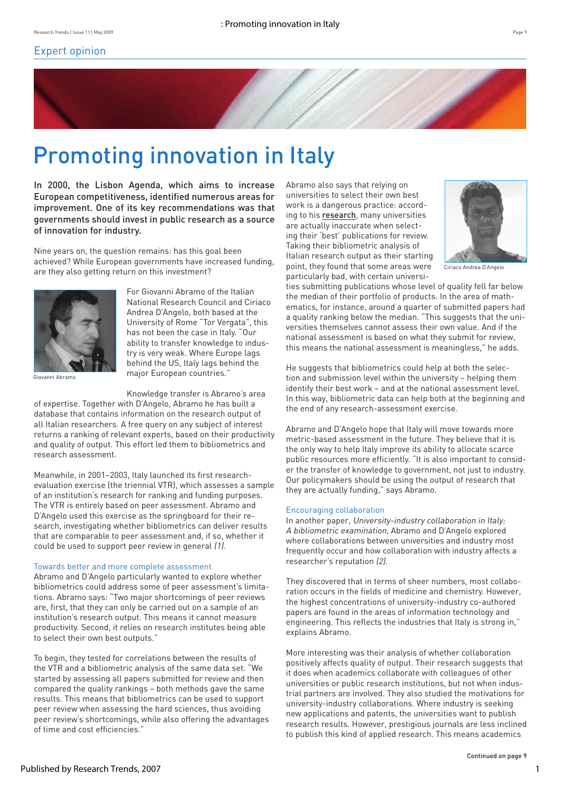

# Promoting innovation in Italy

In 2000, the Lisbon Agenda, which aims to increase European competitiveness, identified numerous areas for improvement. One of its key recommendations was that governments should invest in public research as a source of innovation for industry.

Nine years on, the question remains: has this goal been achieved? While European governments have increased funding, are they also getting return on this investment?



Giovanni Abramo

For Giovanni Abramo of the Italian National Research Council and Ciriaco Andrea D'Angelo, both based at the University of Rome "Tor Vergata", this has not been the case in Italy. "Our ability to transfer knowledge to industry is very weak. Where Europe lags behind the US, Italy lags behind the major European countries."

Knowledge transfer is Abramo's area

of expertise. Together with D'Angelo, Abramo he has built a database that contains information on the research output of all Italian researchers. A free query on any subject of interest returns a ranking of relevant experts, based on their productivity and quality of output. This effort led them to bibliometrics and research assessment.

Meanwhile, in 2001–2003, Italy launched its first researchevaluation exercise (the triennial VTR), which assesses a sample of an institution's research for ranking and funding purposes. The VTR is entirely based on peer assessment. Abramo and D'Angelo used this exercise as the springboard for their research, investigating whether bibliometrics can deliver results that are comparable to peer assessment and, if so, whether it could be used to support peer review in general (1).

#### Towards better and more complete assessment

Abramo and D'Angelo particularly wanted to explore whether bibliometrics could address some of peer assessment's limitations. Abramo says: "Two major shortcomings of peer reviews are, first, that they can only be carried out on a sample of an institution's research output. This means it cannot measure productivity. Second, it relies on research institutes being able to select their own best outputs."

To begin, they tested for correlations between the results of the VTR and a bibliometric analysis of the same data set. "We started by assessing all papers submitted for review and then compared the quality rankings – both methods gave the same results. This means that bibliometrics can be used to support peer review when assessing the hard sciences, thus avoiding peer review's shortcomings, while also offering the advantages of time and cost efficiencies."

Abramo also says that relying on universities to select their own best work is a dangerous practice: according to his [research](http://dx.doi.org/10.1016/j.respol.2008.11.001), many universities are actually inaccurate when selecting their 'best' publications for review. Taking their bibliometric analysis of Italian research output as their starting point, they found that some areas were particularly bad, with certain universi-



Ciriaco Andrea D'Angelo

ties submitting publications whose level of quality fell far below the median of their portfolio of products. In the area of mathematics, for instance, around a quarter of submitted papers had a quality ranking below the median. "This suggests that the universities themselves cannot assess their own value. And if the national assessment is based on what they submit for review, this means the national assessment is meaningless," he adds.

He suggests that bibliometrics could help at both the selection and submission level within the university – helping them identify their best work – and at the national assessment level. In this way, bibliometric data can help both at the beginning and the end of any research-assessment exercise.

Abramo and D'Angelo hope that Italy will move towards more metric-based assessment in the future. They believe that it is the only way to help Italy improve its ability to allocate scarce public resources more efficiently. "It is also important to consider the transfer of knowledge to government, not just to industry. Our policymakers should be using the output of research that they are actually funding," says Abramo.

#### Encouraging collaboration

In another paper, University-industry collaboration in Italy: A bibliometric examination, Abramo and D'Angelo explored where collaborations between universities and industry most frequently occur and how collaboration with industry affects a researcher's reputation (2).

They discovered that in terms of sheer numbers, most collaboration occurs in the fields of medicine and chemistry. However, the highest concentrations of university-industry co-authored papers are found in the areas of information technology and engineering. This reflects the industries that Italy is strong in," explains Abramo.

More interesting was their analysis of whether collaboration positively affects quality of output. Their research suggests that it does when academics collaborate with colleagues of other universities or public research institutions, but not when industrial partners are involved. They also studied the motivations for university-industry collaborations. Where industry is seeking new applications and patents, the universities want to publish research results. However, prestigious journals are less inclined to publish this kind of applied research. This means academics